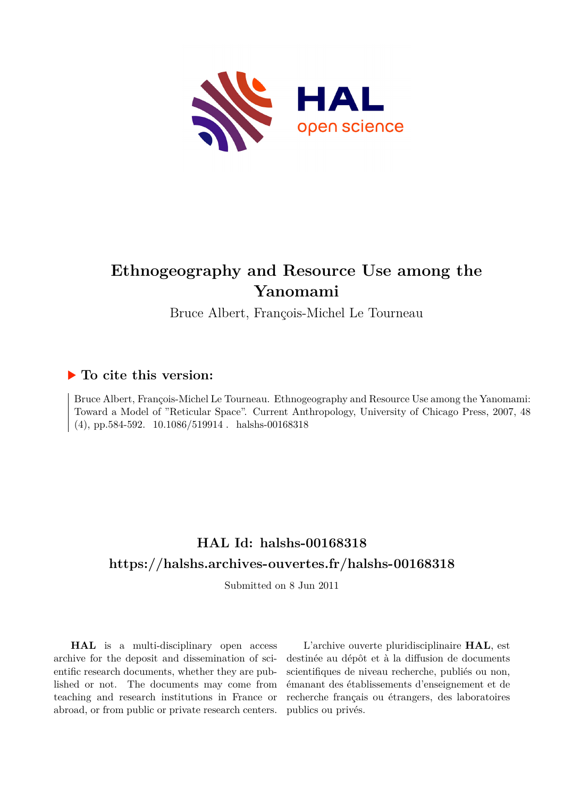

## **Ethnogeography and Resource Use among the Yanomami**

Bruce Albert, François-Michel Le Tourneau

### **To cite this version:**

Bruce Albert, François-Michel Le Tourneau. Ethnogeography and Resource Use among the Yanomami: Toward a Model of "Reticular Space". Current Anthropology, University of Chicago Press, 2007, 48 (4), pp.584-592.  $10.1086/519914$ . halshs-00168318

### **HAL Id: halshs-00168318 <https://halshs.archives-ouvertes.fr/halshs-00168318>**

Submitted on 8 Jun 2011

**HAL** is a multi-disciplinary open access archive for the deposit and dissemination of scientific research documents, whether they are published or not. The documents may come from teaching and research institutions in France or abroad, or from public or private research centers.

L'archive ouverte pluridisciplinaire **HAL**, est destinée au dépôt et à la diffusion de documents scientifiques de niveau recherche, publiés ou non, émanant des établissements d'enseignement et de recherche français ou étrangers, des laboratoires publics ou privés.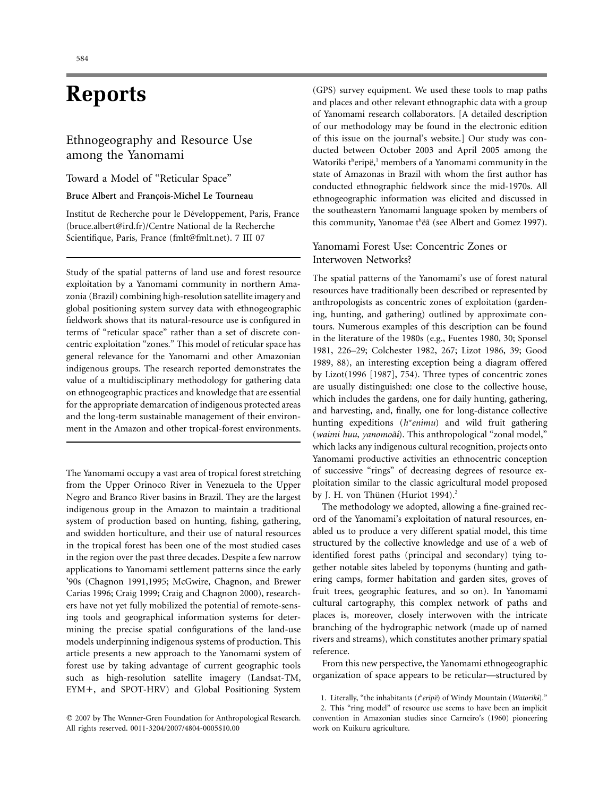# **Reports**

#### Ethnogeography and Resource Use among the Yanomami

Toward a Model of "Reticular Space"

**Bruce Albert** and **Franc¸ois-Michel Le Tourneau**

Institut de Recherche pour le Développement, Paris, France (bruce.albert@ird.fr)/Centre National de la Recherche Scientifique, Paris, France (fmlt@fmlt.net). 7 III 07

Study of the spatial patterns of land use and forest resource exploitation by a Yanomami community in northern Amazonia (Brazil) combining high-resolution satellite imagery and global positioning system survey data with ethnogeographic fieldwork shows that its natural-resource use is configured in terms of "reticular space" rather than a set of discrete concentric exploitation "zones." This model of reticular space has general relevance for the Yanomami and other Amazonian indigenous groups. The research reported demonstrates the value of a multidisciplinary methodology for gathering data on ethnogeographic practices and knowledge that are essential for the appropriate demarcation of indigenous protected areas and the long-term sustainable management of their environment in the Amazon and other tropical-forest environments.

The Yanomami occupy a vast area of tropical forest stretching from the Upper Orinoco River in Venezuela to the Upper Negro and Branco River basins in Brazil. They are the largest indigenous group in the Amazon to maintain a traditional system of production based on hunting, fishing, gathering, and swidden horticulture, and their use of natural resources in the tropical forest has been one of the most studied cases in the region over the past three decades. Despite a few narrow applications to Yanomami settlement patterns since the early '90s (Chagnon 1991,1995; McGwire, Chagnon, and Brewer Carias 1996; Craig 1999; Craig and Chagnon 2000), researchers have not yet fully mobilized the potential of remote-sensing tools and geographical information systems for determining the precise spatial configurations of the land-use models underpinning indigenous systems of production. This article presents a new approach to the Yanomami system of forest use by taking advantage of current geographic tools such as high-resolution satellite imagery (Landsat-TM, EYM+, and SPOT-HRV) and Global Positioning System

 $©$  2007 by The Wenner-Gren Foundation for Anthropological Research.

All rights reserved. 0011-3204/2007/4804-0005\$10.00

(GPS) survey equipment. We used these tools to map paths and places and other relevant ethnographic data with a group of Yanomami research collaborators. [A detailed description of our methodology may be found in the electronic edition of this issue on the journal's website.] Our study was conducted between October 2003 and April 2005 among the Watoriki t<sup>h</sup>eripë,<sup>1</sup> members of a Yanomami community in the state of Amazonas in Brazil with whom the first author has conducted ethnographic fieldwork since the mid-1970s. All ethnogeographic information was elicited and discussed in the southeastern Yanomami language spoken by members of this community, Yanomae thea (see Albert and Gomez 1997).

#### Yanomami Forest Use: Concentric Zones or Interwoven Networks?

The spatial patterns of the Yanomami's use of forest natural resources have traditionally been described or represented by anthropologists as concentric zones of exploitation (gardening, hunting, and gathering) outlined by approximate contours. Numerous examples of this description can be found in the literature of the 1980s (e.g., Fuentes 1980, 30; Sponsel 1981, 226–29; Colchester 1982, 267; Lizot 1986, 39; Good 1989, 88), an interesting exception being a diagram offered by Lizot(1996 [1987], 754). Three types of concentric zones are usually distinguished: one close to the collective house, which includes the gardens, one for daily hunting, gathering, and harvesting, and, finally, one for long-distance collective hunting expeditions (*hw enimu*) and wild fruit gathering (*waimi huu, yanomoãi*). This anthropological "zonal model," which lacks any indigenous cultural recognition, projects onto Yanomami productive activities an ethnocentric conception of successive "rings" of decreasing degrees of resource exploitation similar to the classic agricultural model proposed by J. H. von Thünen (Huriot 1994).<sup>2</sup>

The methodology we adopted, allowing a fine-grained record of the Yanomami's exploitation of natural resources, enabled us to produce a very different spatial model, this time structured by the collective knowledge and use of a web of identified forest paths (principal and secondary) tying together notable sites labeled by toponyms (hunting and gathering camps, former habitation and garden sites, groves of fruit trees, geographic features, and so on). In Yanomami cultural cartography, this complex network of paths and places is, moreover, closely interwoven with the intricate branching of the hydrographic network (made up of named rivers and streams), which constitutes another primary spatial reference.

From this new perspective, the Yanomami ethnogeographic organization of space appears to be reticular—structured by

<sup>1.</sup> Literally, "the inhabitants ( $t^h$ eripë) of Windy Mountain (*Watoriki*)."

<sup>2.</sup> This "ring model" of resource use seems to have been an implicit convention in Amazonian studies since Carneiro's (1960) pioneering work on Kuikuru agriculture.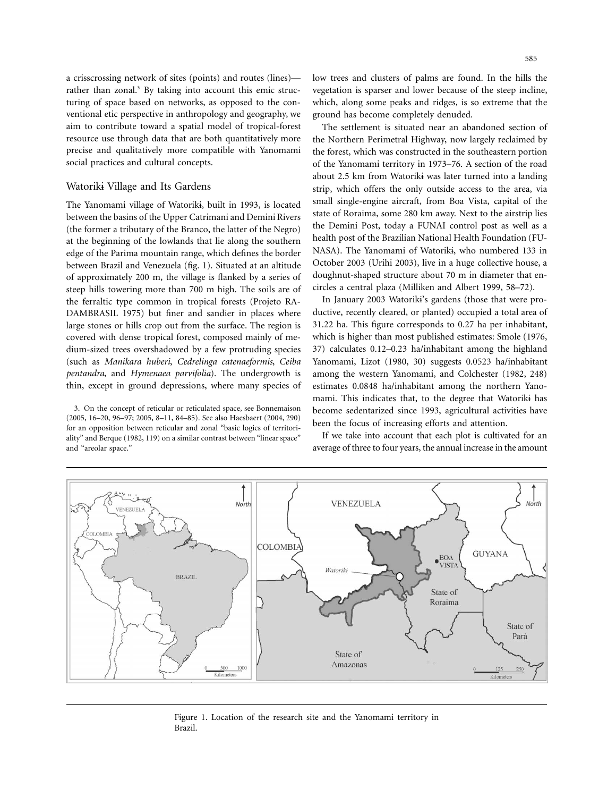a crisscrossing network of sites (points) and routes (lines) rather than zonal.<sup>3</sup> By taking into account this emic structuring of space based on networks, as opposed to the conventional etic perspective in anthropology and geography, we aim to contribute toward a spatial model of tropical-forest resource use through data that are both quantitatively more precise and qualitatively more compatible with Yanomami social practices and cultural concepts.

#### Watoriki Village and Its Gardens

The Yanomami village of Watoriki, built in 1993, is located between the basins of the Upper Catrimani and Demini Rivers (the former a tributary of the Branco, the latter of the Negro) at the beginning of the lowlands that lie along the southern edge of the Parima mountain range, which defines the border between Brazil and Venezuela (fig. 1). Situated at an altitude of approximately 200 m, the village is flanked by a series of steep hills towering more than 700 m high. The soils are of the ferraltic type common in tropical forests (Projeto RA-DAMBRASIL 1975) but finer and sandier in places where large stones or hills crop out from the surface. The region is covered with dense tropical forest, composed mainly of medium-sized trees overshadowed by a few protruding species (such as *Manikara huberi*, *Cedrelinga catenaeformis*, *Ceiba pentandra*, and *Hymenaea parvifolia*). The undergrowth is thin, except in ground depressions, where many species of

3. On the concept of reticular or reticulated space, see Bonnemaison (2005, 16–20, 96–97; 2005, 8–11, 84–85). See also Haesbaert (2004, 290) for an opposition between reticular and zonal "basic logics of territoriality" and Berque (1982, 119) on a similar contrast between "linear space" and "areolar space."

low trees and clusters of palms are found. In the hills the vegetation is sparser and lower because of the steep incline, which, along some peaks and ridges, is so extreme that the ground has become completely denuded.

The settlement is situated near an abandoned section of the Northern Perimetral Highway, now largely reclaimed by the forest, which was constructed in the southeastern portion of the Yanomami territory in 1973–76. A section of the road about 2.5 km from Watoriki- was later turned into a landing strip, which offers the only outside access to the area, via small single-engine aircraft, from Boa Vista, capital of the state of Roraima, some 280 km away. Next to the airstrip lies the Demini Post, today a FUNAI control post as well as a health post of the Brazilian National Health Foundation (FU-NASA). The Yanomami of Watoriki, who numbered 133 in October 2003 (Urihi 2003), live in a huge collective house, a doughnut-shaped structure about 70 m in diameter that encircles a central plaza (Milliken and Albert 1999, 58–72).

In January 2003 Watoriki's gardens (those that were productive, recently cleared, or planted) occupied a total area of 31.22 ha. This figure corresponds to 0.27 ha per inhabitant, which is higher than most published estimates: Smole (1976, 37) calculates 0.12–0.23 ha/inhabitant among the highland Yanomami, Lizot (1980, 30) suggests 0.0523 ha/inhabitant among the western Yanomami, and Colchester (1982, 248) estimates 0.0848 ha/inhabitant among the northern Yanomami. This indicates that, to the degree that Watoriki- has become sedentarized since 1993, agricultural activities have been the focus of increasing efforts and attention.

If we take into account that each plot is cultivated for an average of three to four years, the annual increase in the amount



Figure 1. Location of the research site and the Yanomami territory in Brazil.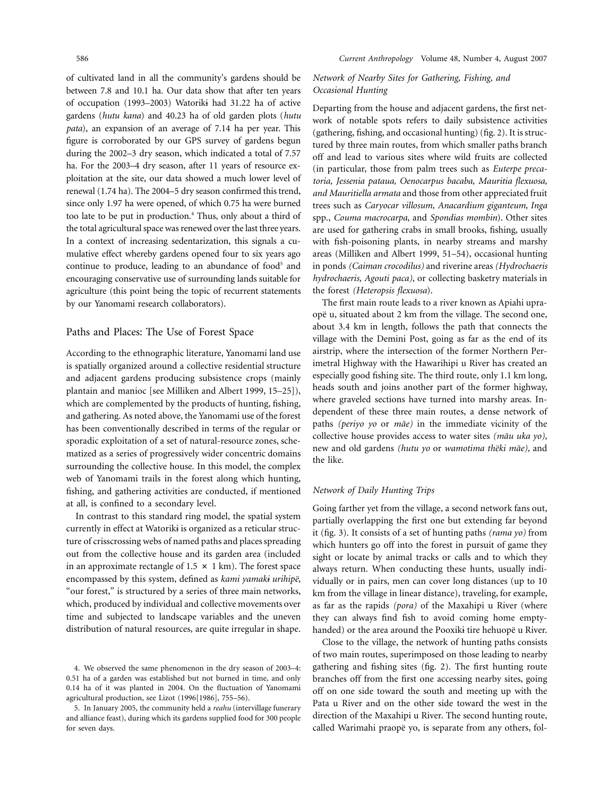of cultivated land in all the community's gardens should be between 7.8 and 10.1 ha. Our data show that after ten years of occupation (1993–2003) Watoriki had 31.22 ha of active gardens (*hutu kana*) and 40.23 ha of old garden plots (*hutu pata*), an expansion of an average of 7.14 ha per year. This figure is corroborated by our GPS survey of gardens begun during the 2002–3 dry season, which indicated a total of 7.57 ha. For the 2003–4 dry season, after 11 years of resource exploitation at the site, our data showed a much lower level of renewal (1.74 ha). The 2004–5 dry season confirmed this trend, since only 1.97 ha were opened, of which 0.75 ha were burned too late to be put in production. <sup>4</sup> Thus, only about a third of the total agricultural space was renewed over the last three years. In a context of increasing sedentarization, this signals a cumulative effect whereby gardens opened four to six years ago continue to produce, leading to an abundance of food<sup>5</sup> and encouraging conservative use of surrounding lands suitable for agriculture (this point being the topic of recurrent statements by our Yanomami research collaborators).

#### Paths and Places: The Use of Forest Space

According to the ethnographic literature, Yanomami land use is spatially organized around a collective residential structure and adjacent gardens producing subsistence crops (mainly plantain and manioc [see Milliken and Albert 1999, 15–25]), which are complemented by the products of hunting, fishing, and gathering. As noted above, the Yanomami use of the forest has been conventionally described in terms of the regular or sporadic exploitation of a set of natural-resource zones, schematized as a series of progressively wider concentric domains surrounding the collective house. In this model, the complex web of Yanomami trails in the forest along which hunting, fishing, and gathering activities are conducted, if mentioned at all, is confined to a secondary level.

In contrast to this standard ring model, the spatial system currently in effect at Watoriki is organized as a reticular structure of crisscrossing webs of named paths and places spreading out from the collective house and its garden area (included in an approximate rectangle of 1.5  $\times$  1 km). The forest space encompassed by this system, defined as *kami yamaki urihipe*, "our forest," is structured by a series of three main networks, which, produced by individual and collective movements over time and subjected to landscape variables and the uneven distribution of natural resources, are quite irregular in shape.

#### *Network of Nearby Sites for Gathering, Fishing, and Occasional Hunting*

Departing from the house and adjacent gardens, the first network of notable spots refers to daily subsistence activities (gathering, fishing, and occasional hunting) (fig. 2). It is structured by three main routes, from which smaller paths branch off and lead to various sites where wild fruits are collected (in particular, those from palm trees such as *Euterpe precatoria, Jessenia pataua, Oenocarpus bacaba, Mauritia flexuosa, and Mauritiella armata* and those from other appreciated fruit trees such as *Caryocar villosum, Anacardium giganteum, Inga* spp., *Couma macrocarpa*, and *Spondias mombin*). Other sites are used for gathering crabs in small brooks, fishing, usually with fish-poisoning plants, in nearby streams and marshy areas (Milliken and Albert 1999, 51–54), occasional hunting in ponds *(Caiman crocodilus)* and riverine areas*(Hydrochaeris hydrochaeris, Agouti paca)*, or collecting basketry materials in the forest *(Heteropsis flexuosa*).

The first main route leads to a river known as Apiahi upraopë u, situated about 2 km from the village. The second one, about 3.4 km in length, follows the path that connects the village with the Demini Post, going as far as the end of its airstrip, where the intersection of the former Northern Perimetral Highway with the Hawarihipi u River has created an especially good fishing site. The third route, only 1.1 km long, heads south and joins another part of the former highway, where graveled sections have turned into marshy areas. Independent of these three main routes, a dense network of paths *(periyo yo* or *ma˜e)* in the immediate vicinity of the collective house provides access to water sites (mau uka yo), new and old gardens (hutu yo or wamotima thëki mãe), and the like.

#### *Network of Daily Hunting Trips*

Going farther yet from the village, a second network fans out, partially overlapping the first one but extending far beyond it (fig. 3). It consists of a set of hunting paths *(rama yo)* from which hunters go off into the forest in pursuit of game they sight or locate by animal tracks or calls and to which they always return. When conducting these hunts, usually individually or in pairs, men can cover long distances (up to 10 km from the village in linear distance), traveling, for example, as far as the rapids *(pora)* of the Maxahipi u River (where they can always find fish to avoid coming home emptyhanded) or the area around the Pooxiki- tire hehuopë u River.

Close to the village, the network of hunting paths consists of two main routes, superimposed on those leading to nearby gathering and fishing sites (fig. 2). The first hunting route branches off from the first one accessing nearby sites, going off on one side toward the south and meeting up with the Pata u River and on the other side toward the west in the direction of the Maxahipi u River. The second hunting route, called Warimahi praopë yo, is separate from any others, fol-

<sup>4.</sup> We observed the same phenomenon in the dry season of 2003–4: 0.51 ha of a garden was established but not burned in time, and only 0.14 ha of it was planted in 2004. On the fluctuation of Yanomami agricultural production, see Lizot (1996[1986], 755–56).

<sup>5.</sup> In January 2005, the community held a *reahu* (intervillage funerary and alliance feast), during which its gardens supplied food for 300 people for seven days.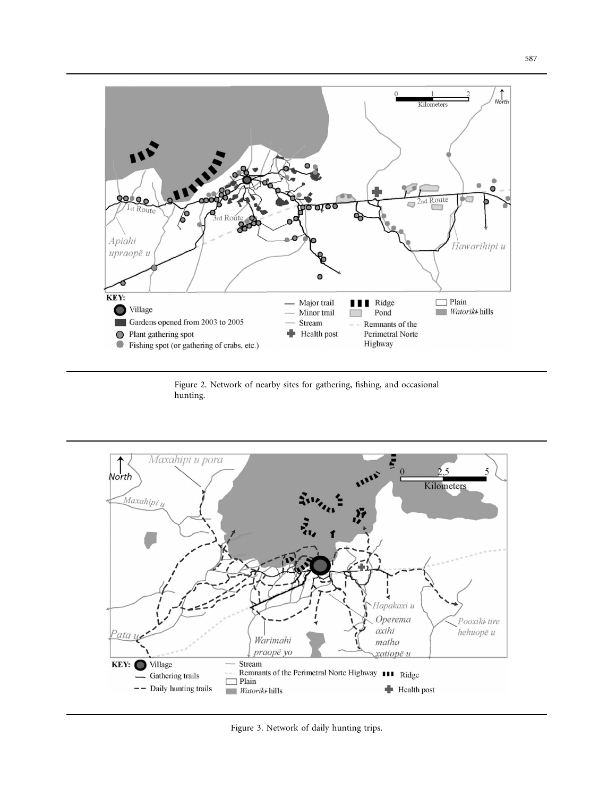

Figure 2. Network of nearby sites for gathering, fishing, and occasional hunting.



Figure 3. Network of daily hunting trips.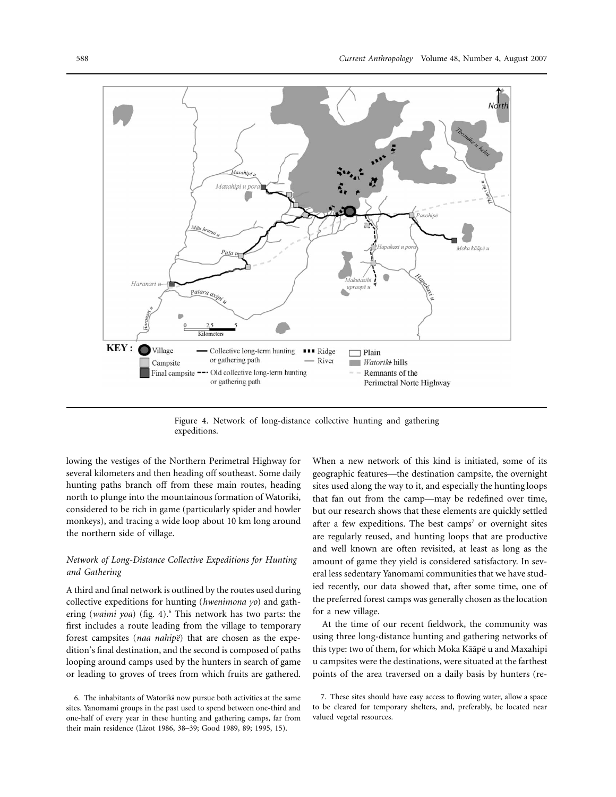

Figure 4. Network of long-distance collective hunting and gathering expeditions.

lowing the vestiges of the Northern Perimetral Highway for several kilometers and then heading off southeast. Some daily hunting paths branch off from these main routes, heading north to plunge into the mountainous formation of Watoriki, considered to be rich in game (particularly spider and howler monkeys), and tracing a wide loop about 10 km long around the northern side of village.

#### *Network of Long-Distance Collective Expeditions for Hunting and Gathering*

A third and final network is outlined by the routes used during collective expeditions for hunting (*hwenimona yo*) and gathering (*waimi yoa*) (fig. 4).<sup>6</sup> This network has two parts: the first includes a route leading from the village to temporary forest campsites (*naa nahipë*) that are chosen as the expedition's final destination, and the second is composed of paths looping around camps used by the hunters in search of game or leading to groves of trees from which fruits are gathered.

When a new network of this kind is initiated, some of its geographic features—the destination campsite, the overnight sites used along the way to it, and especially the hunting loops that fan out from the camp—may be redefined over time, but our research shows that these elements are quickly settled after a few expeditions. The best camps<sup>7</sup> or overnight sites are regularly reused, and hunting loops that are productive and well known are often revisited, at least as long as the amount of game they yield is considered satisfactory. In several less sedentary Yanomami communities that we have studied recently, our data showed that, after some time, one of the preferred forest camps was generally chosen as the location for a new village.

At the time of our recent fieldwork, the community was using three long-distance hunting and gathering networks of this type: two of them, for which Moka Kããpë u and Maxahipi u campsites were the destinations, were situated at the farthest points of the area traversed on a daily basis by hunters (re-

<sup>6.</sup> The inhabitants of Watoriki now pursue both activities at the same sites. Yanomami groups in the past used to spend between one-third and one-half of every year in these hunting and gathering camps, far from their main residence (Lizot 1986, 38–39; Good 1989, 89; 1995, 15).

<sup>7.</sup> These sites should have easy access to flowing water, allow a space to be cleared for temporary shelters, and, preferably, be located near valued vegetal resources.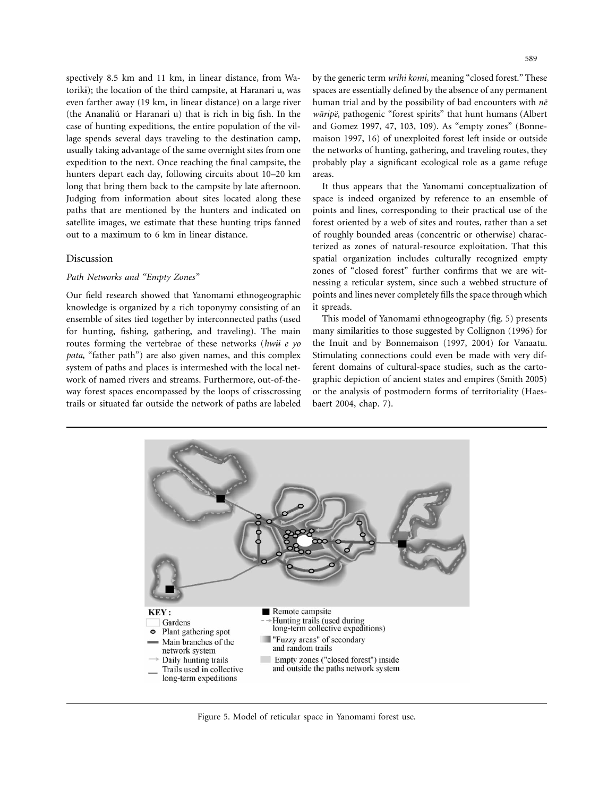spectively 8.5 km and 11 km, in linear distance, from Watoriki); the location of the third campsite, at Haranari u, was even farther away (19 km, in linear distance) on a large river (the Ananaliu<sup>i</sup> or Haranari u) that is rich in big fish. In the case of hunting expeditions, the entire population of the village spends several days traveling to the destination camp, usually taking advantage of the same overnight sites from one expedition to the next. Once reaching the final campsite, the hunters depart each day, following circuits about 10–20 km long that bring them back to the campsite by late afternoon. Judging from information about sites located along these paths that are mentioned by the hunters and indicated on satellite images, we estimate that these hunting trips fanned out to a maximum to 6 km in linear distance.

#### Discussion

#### *Path Networks and "Empty Zones"*

Our field research showed that Yanomami ethnogeographic knowledge is organized by a rich toponymy consisting of an ensemble of sites tied together by interconnected paths (used for hunting, fishing, gathering, and traveling). The main routes forming the vertebrae of these networks (hwii e yo *pata*, "father path") are also given names, and this complex system of paths and places is intermeshed with the local network of named rivers and streams. Furthermore, out-of-theway forest spaces encompassed by the loops of crisscrossing trails or situated far outside the network of paths are labeled by the generic term *urihi komi*, meaning "closed forest." These spaces are essentially defined by the absence of any permanent human trial and by the possibility of bad encounters with  $n\ddot{e}$ *wāripë*, pathogenic "forest spirits" that hunt humans (Albert and Gomez 1997, 47, 103, 109). As "empty zones" (Bonnemaison 1997, 16) of unexploited forest left inside or outside the networks of hunting, gathering, and traveling routes, they probably play a significant ecological role as a game refuge areas.

It thus appears that the Yanomami conceptualization of space is indeed organized by reference to an ensemble of points and lines, corresponding to their practical use of the forest oriented by a web of sites and routes, rather than a set of roughly bounded areas (concentric or otherwise) characterized as zones of natural-resource exploitation. That this spatial organization includes culturally recognized empty zones of "closed forest" further confirms that we are witnessing a reticular system, since such a webbed structure of points and lines never completely fills the space throughwhich it spreads.

This model of Yanomami ethnogeography (fig. 5) presents many similarities to those suggested by Collignon (1996) for the Inuit and by Bonnemaison (1997, 2004) for Vanaatu. Stimulating connections could even be made with very different domains of cultural-space studies, such as the cartographic depiction of ancient states and empires (Smith 2005) or the analysis of postmodern forms of territoriality (Haesbaert 2004, chap. 7).



Figure 5. Model of reticular space in Yanomami forest use.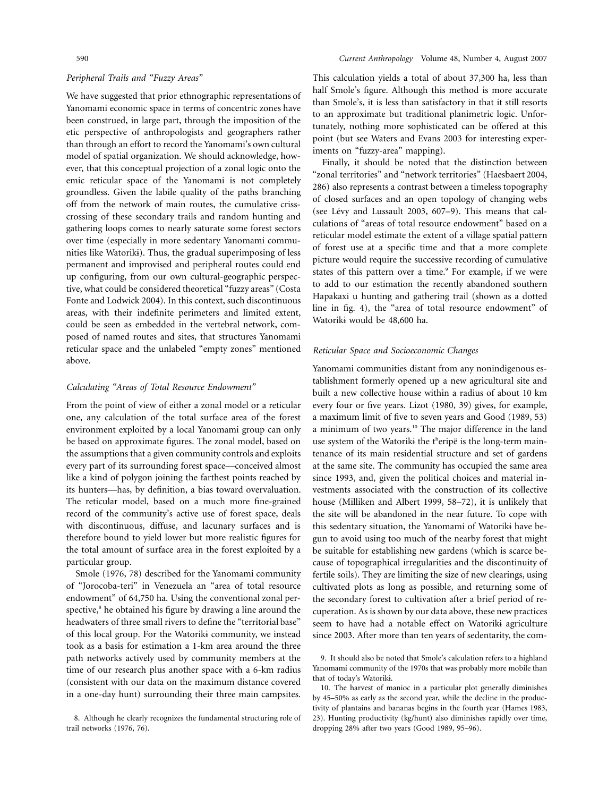#### *Peripheral Trails and "Fuzzy Areas"*

We have suggested that prior ethnographic representations of Yanomami economic space in terms of concentric zones have been construed, in large part, through the imposition of the etic perspective of anthropologists and geographers rather than through an effort to record the Yanomami's own cultural model of spatial organization. We should acknowledge, however, that this conceptual projection of a zonal logic onto the emic reticular space of the Yanomami is not completely groundless. Given the labile quality of the paths branching off from the network of main routes, the cumulative crisscrossing of these secondary trails and random hunting and gathering loops comes to nearly saturate some forest sectors over time (especially in more sedentary Yanomami communities like Watoriki). Thus, the gradual superimposing of less permanent and improvised and peripheral routes could end up configuring, from our own cultural-geographic perspective, what could be considered theoretical "fuzzy areas" (Costa Fonte and Lodwick 2004). In this context, such discontinuous areas, with their indefinite perimeters and limited extent, could be seen as embedded in the vertebral network, composed of named routes and sites, that structures Yanomami reticular space and the unlabeled "empty zones" mentioned above.

#### *Calculating "Areas of Total Resource Endowment"*

From the point of view of either a zonal model or a reticular one, any calculation of the total surface area of the forest environment exploited by a local Yanomami group can only be based on approximate figures. The zonal model, based on the assumptions that a given community controls and exploits every part of its surrounding forest space—conceived almost like a kind of polygon joining the farthest points reached by its hunters—has, by definition, a bias toward overvaluation. The reticular model, based on a much more fine-grained record of the community's active use of forest space, deals with discontinuous, diffuse, and lacunary surfaces and is therefore bound to yield lower but more realistic figures for the total amount of surface area in the forest exploited by a particular group.

Smole (1976, 78) described for the Yanomami community of "Jorocoba-teri" in Venezuela an "area of total resource endowment" of 64,750 ha. Using the conventional zonal perspective,<sup>8</sup> he obtained his figure by drawing a line around the headwaters of three small rivers to define the "territorial base" of this local group. For the Watoriki- community, we instead took as a basis for estimation a 1-km area around the three path networks actively used by community members at the time of our research plus another space with a 6-km radius (consistent with our data on the maximum distance covered in a one-day hunt) surrounding their three main campsites.

This calculation yields a total of about 37,300 ha, less than half Smole's figure. Although this method is more accurate than Smole's, it is less than satisfactory in that it still resorts to an approximate but traditional planimetric logic. Unfortunately, nothing more sophisticated can be offered at this point (but see Waters and Evans 2003 for interesting experiments on "fuzzy-area" mapping).

Finally, it should be noted that the distinction between "zonal territories" and "network territories" (Haesbaert 2004, 286) also represents a contrast between a timeless topography of closed surfaces and an open topology of changing webs (see Lévy and Lussault 2003, 607-9). This means that calculations of "areas of total resource endowment" based on a reticular model estimate the extent of a village spatial pattern of forest use at a specific time and that a more complete picture would require the successive recording of cumulative states of this pattern over a time.<sup>9</sup> For example, if we were to add to our estimation the recently abandoned southern Hapakaxi u hunting and gathering trail (shown as a dotted line in fig. 4), the "area of total resource endowment" of Watoriki would be 48,600 ha.

#### *Reticular Space and Socioeconomic Changes*

Yanomami communities distant from any nonindigenous establishment formerly opened up a new agricultural site and built a new collective house within a radius of about 10 km every four or five years. Lizot (1980, 39) gives, for example, a maximum limit of five to seven years and Good (1989, 53) a minimum of two years.10 The major difference in the land use system of the Watoriki the theripe is the long-term maintenance of its main residential structure and set of gardens at the same site. The community has occupied the same area since 1993, and, given the political choices and material investments associated with the construction of its collective house (Milliken and Albert 1999, 58–72), it is unlikely that the site will be abandoned in the near future. To cope with this sedentary situation, the Yanomami of Watoriki have begun to avoid using too much of the nearby forest that might be suitable for establishing new gardens (which is scarce because of topographical irregularities and the discontinuity of fertile soils). They are limiting the size of new clearings, using cultivated plots as long as possible, and returning some of the secondary forest to cultivation after a brief period of recuperation. As is shown by our data above, these new practices seem to have had a notable effect on Watoriki agriculture since 2003. After more than ten years of sedentarity, the com-

<sup>8.</sup> Although he clearly recognizes the fundamental structuring role of trail networks (1976, 76).

<sup>9.</sup> It should also be noted that Smole's calculation refers to a highland Yanomami community of the 1970s that was probably more mobile than that of today's Watoriki.

<sup>10.</sup> The harvest of manioc in a particular plot generally diminishes by 45–50% as early as the second year, while the decline in the productivity of plantains and bananas begins in the fourth year (Hames 1983, 23). Hunting productivity (kg/hunt) also diminishes rapidly over time, dropping 28% after two years (Good 1989, 95–96).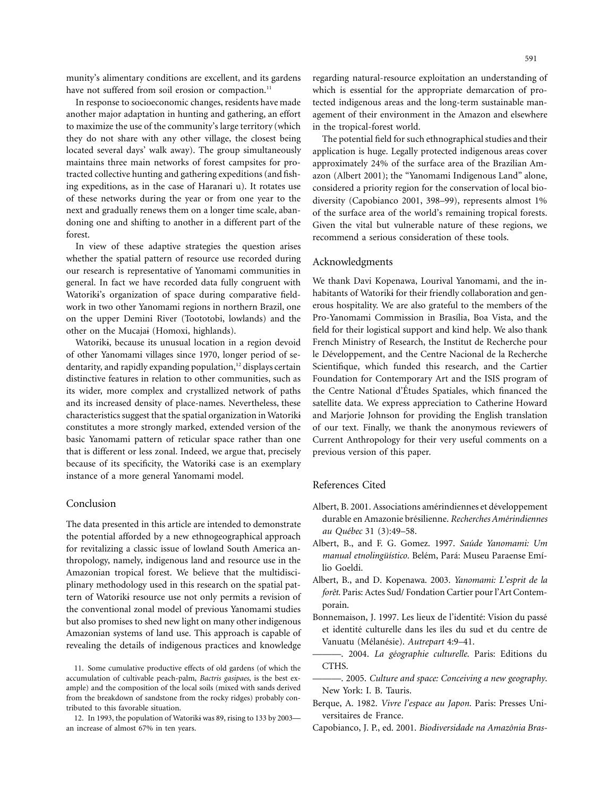munity's alimentary conditions are excellent, and its gardens have not suffered from soil erosion or compaction.<sup>11</sup>

In response to socioeconomic changes, residents have made another major adaptation in hunting and gathering, an effort to maximize the use of the community's large territory (which they do not share with any other village, the closest being located several days' walk away). The group simultaneously maintains three main networks of forest campsites for protracted collective hunting and gathering expeditions(and fishing expeditions, as in the case of Haranari u). It rotates use of these networks during the year or from one year to the next and gradually renews them on a longer time scale, abandoning one and shifting to another in a different part of the forest.

In view of these adaptive strategies the question arises whether the spatial pattern of resource use recorded during our research is representative of Yanomami communities in general. In fact we have recorded data fully congruent with Watoriki's organization of space during comparative fieldwork in two other Yanomami regions in northern Brazil, one on the upper Demini River (Toototobi, lowlands) and the other on the Mucajai (Homoxi, highlands).

Watoriki, because its unusual location in a region devoid of other Yanomami villages since 1970, longer period of sedentarity, and rapidly expanding population,<sup>12</sup> displays certain distinctive features in relation to other communities, such as its wider, more complex and crystallized network of paths and its increased density of place-names. Nevertheless, these characteristics suggest that the spatial organization in Watorikiconstitutes a more strongly marked, extended version of the basic Yanomami pattern of reticular space rather than one that is different or less zonal. Indeed, we argue that, precisely because of its specificity, the Watoriki- case is an exemplary instance of a more general Yanomami model.

#### Conclusion

The data presented in this article are intended to demonstrate the potential afforded by a new ethnogeographical approach for revitalizing a classic issue of lowland South America anthropology, namely, indigenous land and resource use in the Amazonian tropical forest. We believe that the multidisciplinary methodology used in this research on the spatial pattern of Watoriki resource use not only permits a revision of the conventional zonal model of previous Yanomami studies but also promises to shed new light on many other indigenous Amazonian systems of land use. This approach is capable of revealing the details of indigenous practices and knowledge

regarding natural-resource exploitation an understanding of which is essential for the appropriate demarcation of protected indigenous areas and the long-term sustainable management of their environment in the Amazon and elsewhere in the tropical-forest world.

The potential field for such ethnographical studies and their application is huge. Legally protected indigenous areas cover approximately 24% of the surface area of the Brazilian Amazon (Albert 2001); the "Yanomami Indigenous Land" alone, considered a priority region for the conservation of local biodiversity (Capobianco 2001, 398–99), represents almost 1% of the surface area of the world's remaining tropical forests. Given the vital but vulnerable nature of these regions, we recommend a serious consideration of these tools.

#### Acknowledgments

We thank Davi Kopenawa, Lourival Yanomami, and the inhabitants of Watoriki for their friendly collaboration and generous hospitality. We are also grateful to the members of the Pro-Yanomami Commission in Brasília, Boa Vista, and the field for their logistical support and kind help. We also thank French Ministry of Research, the Institut de Recherche pour le Développement, and the Centre Nacional de la Recherche Scientifique, which funded this research, and the Cartier Foundation for Contemporary Art and the ISIS program of the Centre National d'Études Spatiales, which financed the satellite data. We express appreciation to Catherine Howard and Marjorie Johnson for providing the English translation of our text. Finally, we thank the anonymous reviewers of Current Anthropology for their very useful comments on a previous version of this paper.

#### References Cited

- Albert, B. 2001. Associations amérindiennes et développement durable en Amazonie bre´silienne. *RecherchesAme´rindiennes au Que´bec* 31 (3):49–58.
- Albert, B., and F. G. Gomez. 1997. *Sau´de Yanomami: Um manual etnolingüístico.* Belém, Pará: Museu Paraense Emílio Goeldi.
- Albert, B., and D. Kopenawa. 2003. *Yanomami: L'esprit de la* forêt. Paris: Actes Sud/ Fondation Cartier pour l'Art Contemporain.
- Bonnemaison, J. 1997. Les lieux de l'identité: Vision du passé et identité culturelle dans les îles du sud et du centre de Vanuatu (Mélanésie). Autrepart 4:9-41.
- ———. 2004. *La ge´ographie culturelle*. Paris: Editions du CTHS.
- ———. 2005. *Culture and space: Conceiving a new geography*. New York: I. B. Tauris.
- Berque, A. 1982. *Vivre l'espace au Japon*. Paris: Presses Universitaires de France.
- Capobianco, J. P., ed. 2001. *Biodiversidade na Amazoˆnia Bras-*

<sup>11.</sup> Some cumulative productive effects of old gardens (of which the accumulation of cultivable peach-palm, *Bactris gasipaes*, is the best example) and the composition of the local soils (mixed with sands derived from the breakdown of sandstone from the rocky ridges) probably contributed to this favorable situation.

<sup>12.</sup> In 1993, the population of Watoriki was 89, rising to 133 by 2003an increase of almost 67% in ten years.